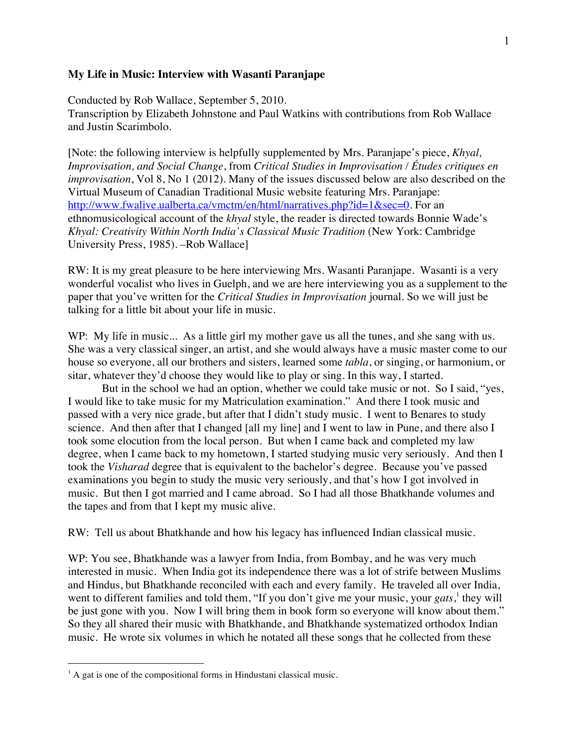## **My Life in Music: Interview with Wasanti Paranjape**

Conducted by Rob Wallace, September 5, 2010. Transcription by Elizabeth Johnstone and Paul Watkins with contributions from Rob Wallace and Justin Scarimbolo.

[Note: the following interview is helpfully supplemented by Mrs. Paranjape's piece, *Khyal, Improvisation, and Social Change*, from *Critical Studies in Improvisation / Études critiques en improvisation*, Vol 8, No 1 (2012). Many of the issues discussed below are also described on the Virtual Museum of Canadian Traditional Music website featuring Mrs. Paranjape: http://www.fwalive.ualberta.ca/vmctm/en/html/narratives.php?id=1&sec=0. For an ethnomusicological account of the *khyal* style, the reader is directed towards Bonnie Wade's *Khyal: Creativity Within North India's Classical Music Tradition* (New York: Cambridge University Press, 1985). –Rob Wallace]

RW: It is my great pleasure to be here interviewing Mrs. Wasanti Paranjape. Wasanti is a very wonderful vocalist who lives in Guelph, and we are here interviewing you as a supplement to the paper that you've written for the *Critical Studies in Improvisation* journal. So we will just be talking for a little bit about your life in music.

WP: My life in music... As a little girl my mother gave us all the tunes, and she sang with us. She was a very classical singer, an artist, and she would always have a music master come to our house so everyone, all our brothers and sisters, learned some *tabla*, or singing, or harmonium, or sitar, whatever they'd choose they would like to play or sing. In this way, I started.

But in the school we had an option, whether we could take music or not. So I said, "yes, I would like to take music for my Matriculation examination." And there I took music and passed with a very nice grade, but after that I didn't study music. I went to Benares to study science. And then after that I changed [all my line] and I went to law in Pune, and there also I took some elocution from the local person. But when I came back and completed my law degree, when I came back to my hometown, I started studying music very seriously. And then I took the *Visharad* degree that is equivalent to the bachelor's degree. Because you've passed examinations you begin to study the music very seriously, and that's how I got involved in music. But then I got married and I came abroad. So I had all those Bhatkhande volumes and the tapes and from that I kept my music alive.

RW: Tell us about Bhatkhande and how his legacy has influenced Indian classical music.

WP: You see, Bhatkhande was a lawyer from India, from Bombay, and he was very much interested in music. When India got its independence there was a lot of strife between Muslims and Hindus, but Bhatkhande reconciled with each and every family. He traveled all over India, went to different families and told them, "If you don't give me your music, your *gats*,<sup>1</sup> they will be just gone with you. Now I will bring them in book form so everyone will know about them." So they all shared their music with Bhatkhande, and Bhatkhande systematized orthodox Indian music. He wrote six volumes in which he notated all these songs that he collected from these

 $\overline{a}$ 

 $<sup>1</sup>$  A gat is one of the compositional forms in Hindustani classical music.</sup>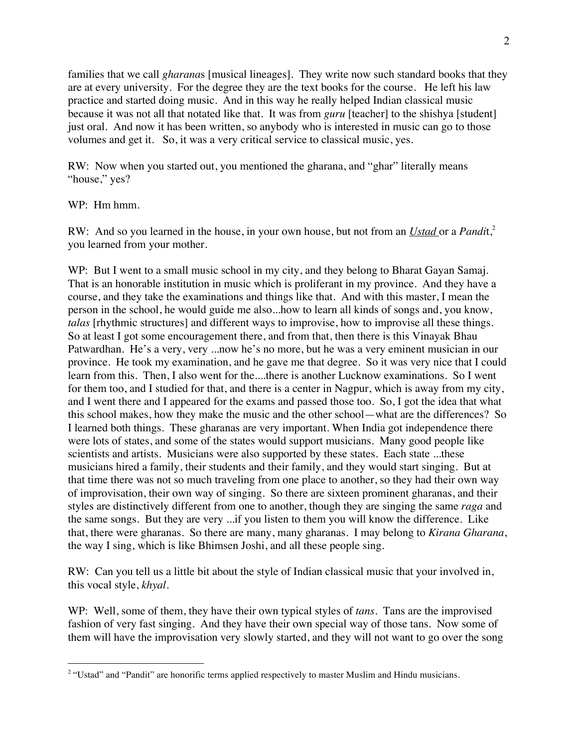families that we call *gharana*s [musical lineages]. They write now such standard books that they are at every university. For the degree they are the text books for the course. He left his law practice and started doing music. And in this way he really helped Indian classical music because it was not all that notated like that. It was from *guru* [teacher] to the shishya [student] just oral. And now it has been written, so anybody who is interested in music can go to those volumes and get it. So, it was a very critical service to classical music, yes.

RW: Now when you started out, you mentioned the gharana, and "ghar" literally means "house," yes?

WP: Hm hmm.

 $\overline{a}$ 

RW: And so you learned in the house, in your own house, but not from an *Ustad* or a *Pandi*t,2 you learned from your mother.

WP: But I went to a small music school in my city, and they belong to Bharat Gayan Samaj. That is an honorable institution in music which is proliferant in my province. And they have a course, and they take the examinations and things like that. And with this master, I mean the person in the school, he would guide me also...how to learn all kinds of songs and, you know, *talas* [rhythmic structures] and different ways to improvise, how to improvise all these things. So at least I got some encouragement there, and from that, then there is this Vinayak Bhau Patwardhan. He's a very, very ...now he's no more, but he was a very eminent musician in our province. He took my examination, and he gave me that degree. So it was very nice that I could learn from this. Then, I also went for the....there is another Lucknow examinations. So I went for them too, and I studied for that, and there is a center in Nagpur, which is away from my city, and I went there and I appeared for the exams and passed those too. So, I got the idea that what this school makes, how they make the music and the other school—what are the differences? So I learned both things. These gharanas are very important. When India got independence there were lots of states, and some of the states would support musicians. Many good people like scientists and artists. Musicians were also supported by these states. Each state ...these musicians hired a family, their students and their family, and they would start singing. But at that time there was not so much traveling from one place to another, so they had their own way of improvisation, their own way of singing. So there are sixteen prominent gharanas, and their styles are distinctively different from one to another, though they are singing the same *raga* and the same songs. But they are very ...if you listen to them you will know the difference. Like that, there were gharanas. So there are many, many gharanas. I may belong to *Kirana Gharana*, the way I sing, which is like Bhimsen Joshi, and all these people sing.

RW: Can you tell us a little bit about the style of Indian classical music that your involved in, this vocal style, *khyal*.

WP: Well, some of them, they have their own typical styles of *tans*. Tans are the improvised fashion of very fast singing. And they have their own special way of those tans. Now some of them will have the improvisation very slowly started, and they will not want to go over the song

<sup>&</sup>lt;sup>2</sup> "Ustad" and "Pandit" are honorific terms applied respectively to master Muslim and Hindu musicians.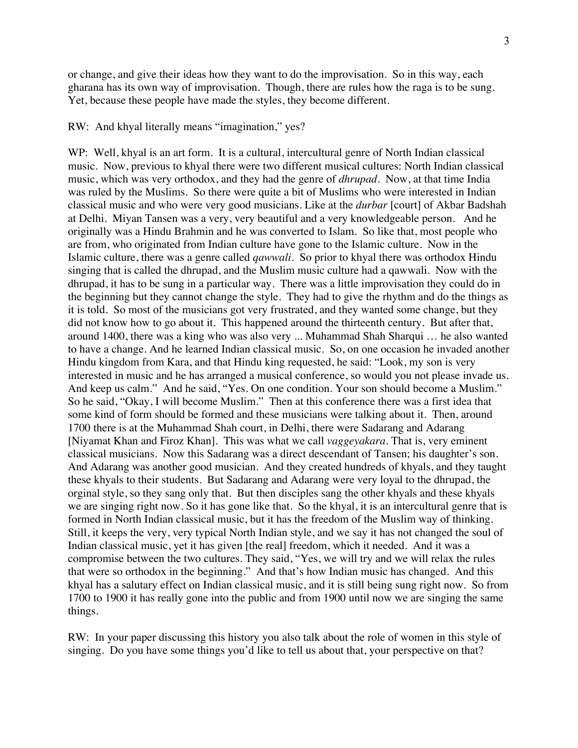or change, and give their ideas how they want to do the improvisation. So in this way, each gharana has its own way of improvisation. Though, there are rules how the raga is to be sung. Yet, because these people have made the styles, they become different.

## RW: And khyal literally means "imagination," yes?

WP: Well, khyal is an art form. It is a cultural, intercultural genre of North Indian classical music. Now, previous to khyal there were two different musical cultures: North Indian classical music, which was very orthodox, and they had the genre of *dhrupad*. Now, at that time India was ruled by the Muslims. So there were quite a bit of Muslims who were interested in Indian classical music and who were very good musicians. Like at the *durbar* [court] of Akbar Badshah at Delhi. Miyan Tansen was a very, very beautiful and a very knowledgeable person. And he originally was a Hindu Brahmin and he was converted to Islam. So like that, most people who are from, who originated from Indian culture have gone to the Islamic culture. Now in the Islamic culture, there was a genre called *qawwali*. So prior to khyal there was orthodox Hindu singing that is called the dhrupad, and the Muslim music culture had a qawwali. Now with the dhrupad, it has to be sung in a particular way. There was a little improvisation they could do in the beginning but they cannot change the style. They had to give the rhythm and do the things as it is told. So most of the musicians got very frustrated, and they wanted some change, but they did not know how to go about it. This happened around the thirteenth century. But after that, around 1400, there was a king who was also very ... Muhammad Shah Sharqui … he also wanted to have a change. And he learned Indian classical music. So, on one occasion he invaded another Hindu kingdom from Kara, and that Hindu king requested, he said: "Look, my son is very interested in music and he has arranged a musical conference, so would you not please invade us. And keep us calm." And he said, "Yes. On one condition. Your son should become a Muslim." So he said, "Okay, I will become Muslim." Then at this conference there was a first idea that some kind of form should be formed and these musicians were talking about it. Then, around 1700 there is at the Muhammad Shah court, in Delhi, there were Sadarang and Adarang [Niyamat Khan and Firoz Khan]. This was what we call *vaggeyakara*. That is, very eminent classical musicians. Now this Sadarang was a direct descendant of Tansen; his daughter's son. And Adarang was another good musician. And they created hundreds of khyals, and they taught these khyals to their students. But Sadarang and Adarang were very loyal to the dhrupad, the orginal style, so they sang only that. But then disciples sang the other khyals and these khyals we are singing right now. So it has gone like that. So the khyal, it is an intercultural genre that is formed in North Indian classical music, but it has the freedom of the Muslim way of thinking. Still, it keeps the very, very typical North Indian style, and we say it has not changed the soul of Indian classical music, yet it has given [the real] freedom, which it needed. And it was a compromise between the two cultures. They said, "Yes, we will try and we will relax the rules that were so orthodox in the beginning." And that's how Indian music has changed. And this khyal has a salutary effect on Indian classical music, and it is still being sung right now. So from 1700 to 1900 it has really gone into the public and from 1900 until now we are singing the same things.

RW: In your paper discussing this history you also talk about the role of women in this style of singing. Do you have some things you'd like to tell us about that, your perspective on that?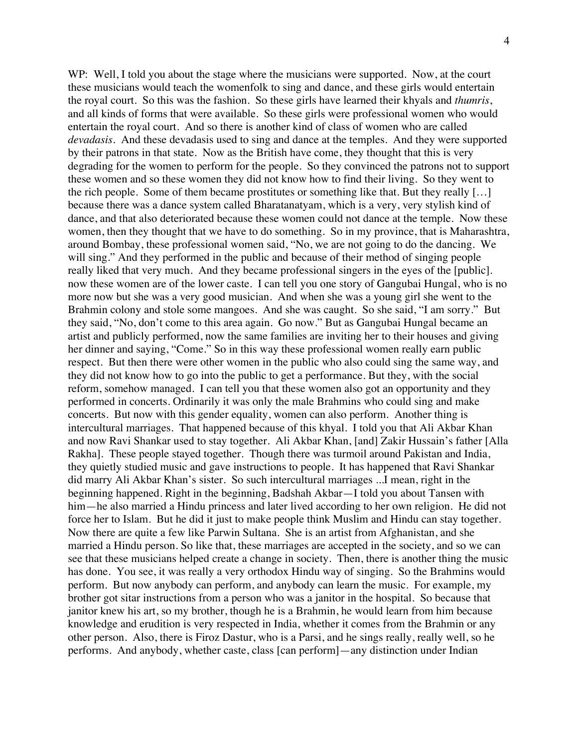WP: Well, I told you about the stage where the musicians were supported. Now, at the court these musicians would teach the womenfolk to sing and dance, and these girls would entertain the royal court. So this was the fashion. So these girls have learned their khyals and *thumris*, and all kinds of forms that were available. So these girls were professional women who would entertain the royal court. And so there is another kind of class of women who are called *devadasis*. And these devadasis used to sing and dance at the temples. And they were supported by their patrons in that state. Now as the British have come, they thought that this is very degrading for the women to perform for the people. So they convinced the patrons not to support these women and so these women they did not know how to find their living. So they went to the rich people. Some of them became prostitutes or something like that. But they really […] because there was a dance system called Bharatanatyam, which is a very, very stylish kind of dance, and that also deteriorated because these women could not dance at the temple. Now these women, then they thought that we have to do something. So in my province, that is Maharashtra, around Bombay, these professional women said, "No, we are not going to do the dancing. We will sing." And they performed in the public and because of their method of singing people really liked that very much. And they became professional singers in the eyes of the [public]. now these women are of the lower caste. I can tell you one story of Gangubai Hungal, who is no more now but she was a very good musician. And when she was a young girl she went to the Brahmin colony and stole some mangoes. And she was caught. So she said, "I am sorry." But they said, "No, don't come to this area again. Go now." But as Gangubai Hungal became an artist and publicly performed, now the same families are inviting her to their houses and giving her dinner and saying, "Come." So in this way these professional women really earn public respect. But then there were other women in the public who also could sing the same way, and they did not know how to go into the public to get a performance. But they, with the social reform, somehow managed. I can tell you that these women also got an opportunity and they performed in concerts. Ordinarily it was only the male Brahmins who could sing and make concerts. But now with this gender equality, women can also perform. Another thing is intercultural marriages. That happened because of this khyal. I told you that Ali Akbar Khan and now Ravi Shankar used to stay together. Ali Akbar Khan, [and] Zakir Hussain's father [Alla Rakha]. These people stayed together. Though there was turmoil around Pakistan and India, they quietly studied music and gave instructions to people. It has happened that Ravi Shankar did marry Ali Akbar Khan's sister. So such intercultural marriages ...I mean, right in the beginning happened. Right in the beginning, Badshah Akbar—I told you about Tansen with him—he also married a Hindu princess and later lived according to her own religion. He did not force her to Islam. But he did it just to make people think Muslim and Hindu can stay together. Now there are quite a few like Parwin Sultana. She is an artist from Afghanistan, and she married a Hindu person. So like that, these marriages are accepted in the society, and so we can see that these musicians helped create a change in society. Then, there is another thing the music has done. You see, it was really a very orthodox Hindu way of singing. So the Brahmins would perform. But now anybody can perform, and anybody can learn the music. For example, my brother got sitar instructions from a person who was a janitor in the hospital. So because that janitor knew his art, so my brother, though he is a Brahmin, he would learn from him because knowledge and erudition is very respected in India, whether it comes from the Brahmin or any other person. Also, there is Firoz Dastur, who is a Parsi, and he sings really, really well, so he performs. And anybody, whether caste, class [can perform]—any distinction under Indian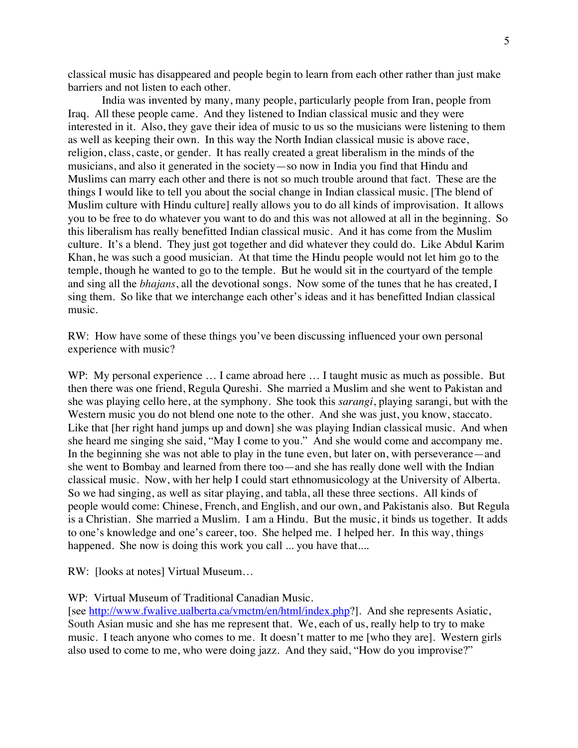classical music has disappeared and people begin to learn from each other rather than just make barriers and not listen to each other.

India was invented by many, many people, particularly people from Iran, people from Iraq. All these people came. And they listened to Indian classical music and they were interested in it. Also, they gave their idea of music to us so the musicians were listening to them as well as keeping their own. In this way the North Indian classical music is above race, religion, class, caste, or gender. It has really created a great liberalism in the minds of the musicians, and also it generated in the society—so now in India you find that Hindu and Muslims can marry each other and there is not so much trouble around that fact. These are the things I would like to tell you about the social change in Indian classical music. [The blend of Muslim culture with Hindu culture] really allows you to do all kinds of improvisation. It allows you to be free to do whatever you want to do and this was not allowed at all in the beginning. So this liberalism has really benefitted Indian classical music. And it has come from the Muslim culture. It's a blend. They just got together and did whatever they could do. Like Abdul Karim Khan, he was such a good musician. At that time the Hindu people would not let him go to the temple, though he wanted to go to the temple. But he would sit in the courtyard of the temple and sing all the *bhajans*, all the devotional songs. Now some of the tunes that he has created, I sing them. So like that we interchange each other's ideas and it has benefitted Indian classical music.

RW: How have some of these things you've been discussing influenced your own personal experience with music?

WP: My personal experience ... I came abroad here ... I taught music as much as possible. But then there was one friend, Regula Qureshi. She married a Muslim and she went to Pakistan and she was playing cello here, at the symphony. She took this *sarangi*, playing sarangi, but with the Western music you do not blend one note to the other. And she was just, you know, staccato. Like that [her right hand jumps up and down] she was playing Indian classical music. And when she heard me singing she said, "May I come to you." And she would come and accompany me. In the beginning she was not able to play in the tune even, but later on, with perseverance—and she went to Bombay and learned from there too—and she has really done well with the Indian classical music. Now, with her help I could start ethnomusicology at the University of Alberta. So we had singing, as well as sitar playing, and tabla, all these three sections. All kinds of people would come: Chinese, French, and English, and our own, and Pakistanis also. But Regula is a Christian. She married a Muslim. I am a Hindu. But the music, it binds us together. It adds to one's knowledge and one's career, too. She helped me. I helped her. In this way, things happened. She now is doing this work you call ... you have that....

RW: [looks at notes] Virtual Museum…

## WP: Virtual Museum of Traditional Canadian Music.

[see http://www.fwalive.ualberta.ca/vmctm/en/html/index.php?]. And she represents Asiatic, South Asian music and she has me represent that. We, each of us, really help to try to make music. I teach anyone who comes to me. It doesn't matter to me [who they are]. Western girls also used to come to me, who were doing jazz. And they said, "How do you improvise?"